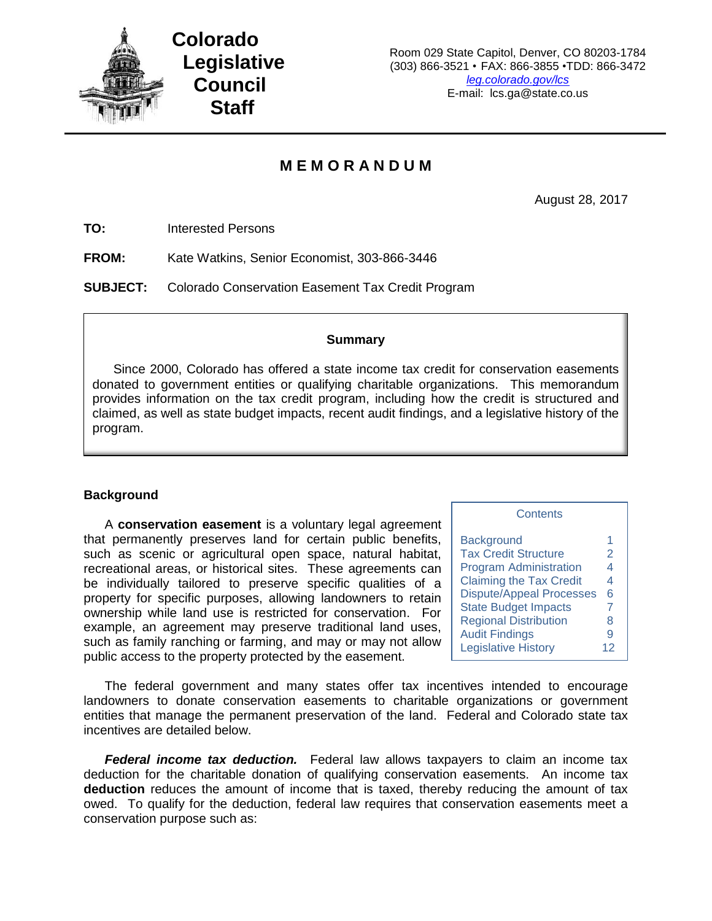

### **M E M O R A N D U M**

August 28, 2017

**TO:** Interested Persons

**FROM:** Kate Watkins, Senior Economist, 303-866-3446

**SUBJECT:** Colorado Conservation Easement Tax Credit Program

#### **Summary**

Since 2000, Colorado has offered a state income tax credit for conservation easements donated to government entities or qualifying charitable organizations. This memorandum provides information on the tax credit program, including how the credit is structured and claimed, as well as state budget impacts, recent audit findings, and a legislative history of the program.

#### **Background**

A **conservation easement** is a voluntary legal agreement that permanently preserves land for certain public benefits, such as scenic or agricultural open space, natural habitat, recreational areas, or historical sites. These agreements can be individually tailored to preserve specific qualities of a property for specific purposes, allowing landowners to retain ownership while land use is restricted for conservation. For example, an agreement may preserve traditional land uses, such as family ranching or farming, and may or may not allow public access to the property protected by the easement.

| <b>Background</b>               | 1  |
|---------------------------------|----|
| <b>Tax Credit Structure</b>     | 2  |
| <b>Program Administration</b>   | 4  |
| <b>Claiming the Tax Credit</b>  | 4  |
| <b>Dispute/Appeal Processes</b> | 6  |
| <b>State Budget Impacts</b>     | 7  |
| <b>Regional Distribution</b>    | 8  |
| <b>Audit Findings</b>           | 9  |
| <b>Legislative History</b>      | 12 |

**Contents** 

The federal government and many states offer tax incentives intended to encourage landowners to donate conservation easements to charitable organizations or government entities that manage the permanent preservation of the land. Federal and Colorado state tax incentives are detailed below.

*Federal income tax deduction.* Federal law allows taxpayers to claim an income tax deduction for the charitable donation of qualifying conservation easements. An income tax **deduction** reduces the amount of income that is taxed, thereby reducing the amount of tax owed. To qualify for the deduction, federal law requires that conservation easements meet a conservation purpose such as: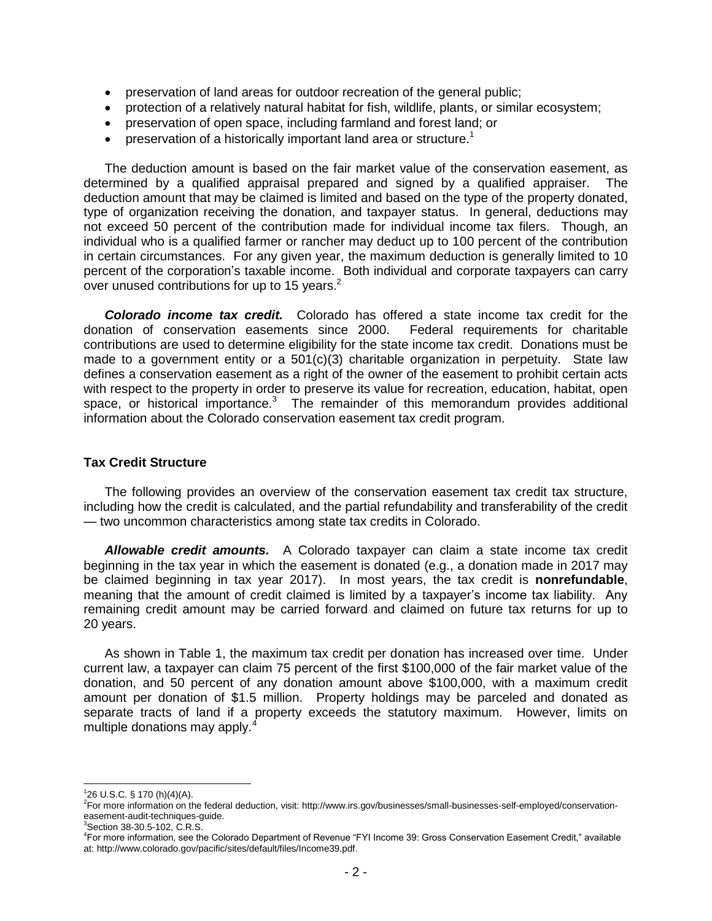- preservation of land areas for outdoor recreation of the general public;
- protection of a relatively natural habitat for fish, wildlife, plants, or similar ecosystem;
- preservation of open space, including farmland and forest land; or
- **•** preservation of a historically important land area or structure.<sup>1</sup>

The deduction amount is based on the fair market value of the conservation easement, as determined by a qualified appraisal prepared and signed by a qualified appraiser. The deduction amount that may be claimed is limited and based on the type of the property donated, type of organization receiving the donation, and taxpayer status. In general, deductions may not exceed 50 percent of the contribution made for individual income tax filers. Though, an individual who is a qualified farmer or rancher may deduct up to 100 percent of the contribution in certain circumstances. For any given year, the maximum deduction is generally limited to 10 percent of the corporation's taxable income. Both individual and corporate taxpayers can carry over unused contributions for up to 15 years. $<sup>2</sup>$ </sup>

*Colorado income tax credit.* Colorado has offered a state income tax credit for the donation of conservation easements since 2000. Federal requirements for charitable contributions are used to determine eligibility for the state income tax credit. Donations must be made to a government entity or a  $501(c)(3)$  charitable organization in perpetuity. State law defines a conservation easement as a right of the owner of the easement to prohibit certain acts with respect to the property in order to preserve its value for recreation, education, habitat, open space, or historical importance. $3$  The remainder of this memorandum provides additional information about the Colorado conservation easement tax credit program.

#### **Tax Credit Structure**

The following provides an overview of the conservation easement tax credit tax structure, including how the credit is calculated, and the partial refundability and transferability of the credit — two uncommon characteristics among state tax credits in Colorado.

*Allowable credit amounts.* A Colorado taxpayer can claim a state income tax credit beginning in the tax year in which the easement is donated (e.g., a donation made in 2017 may be claimed beginning in tax year 2017). In most years, the tax credit is **nonrefundable**, meaning that the amount of credit claimed is limited by a taxpayer's income tax liability. Any remaining credit amount may be carried forward and claimed on future tax returns for up to 20 years.

As shown in Table 1, the maximum tax credit per donation has increased over time. Under current law, a taxpayer can claim 75 percent of the first \$100,000 of the fair market value of the donation, and 50 percent of any donation amount above \$100,000, with a maximum credit amount per donation of \$1.5 million. Property holdings may be parceled and donated as separate tracts of land if a property exceeds the statutory maximum. However, limits on multiple donations may apply.<sup>4</sup>

 1 26 U.S.C. § 170 (h)(4)(A).

<sup>2</sup> For more information on the federal deduction, visit: [http://www.irs.gov/businesses/small-businesses-self-employed/conservation](http://www.irs.gov/businesses/small-businesses-self-employed/conservation-easement-audit-techniques-guide)[easement-audit-techniques-guide.](http://www.irs.gov/businesses/small-businesses-self-employed/conservation-easement-audit-techniques-guide)

<sup>&</sup>lt;sup>3</sup>Section 38-30.5-102, C.R.S.

<sup>4</sup> For more information, see the Colorado Department of Revenue "FYI Income 39: Gross Conservation Easement Credit," available at: [http://www.colorado.gov/pacific/sites/default/files/Income39.pdf.](http://www.colorado.gov/pacific/sites/default/files/Income39.pdf)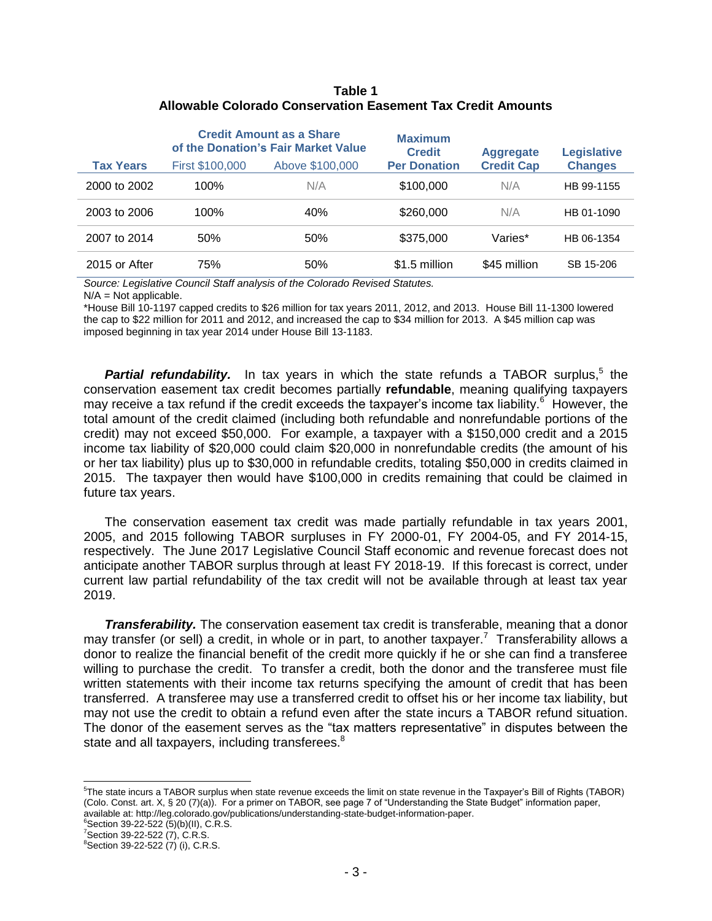#### **Table 1 Allowable Colorado Conservation Easement Tax Credit Amounts**

|                  |                        | <b>Credit Amount as a Share</b><br>of the Donation's Fair Market Value | <b>Maximum</b><br><b>Credit</b> | <b>Aggregate</b>  | <b>Legislative</b> |
|------------------|------------------------|------------------------------------------------------------------------|---------------------------------|-------------------|--------------------|
| <b>Tax Years</b> | <b>First \$100,000</b> | Above \$100,000                                                        | <b>Per Donation</b>             | <b>Credit Cap</b> | <b>Changes</b>     |
| 2000 to 2002     | 100%                   | N/A                                                                    | \$100,000                       | N/A               | HB 99-1155         |
| 2003 to 2006     | 100%                   | 40%                                                                    | \$260,000                       | N/A               | HB 01-1090         |
| 2007 to 2014     | 50%                    | 50%                                                                    | \$375,000                       | Varies*           | HB 06-1354         |
| 2015 or After    | 75%                    | 50%                                                                    | \$1.5 million                   | \$45 million      | SB 15-206          |

*Source: Legislative Council Staff analysis of the Colorado Revised Statutes.* 

 $N/A = Not$  applicable.

\*House Bill 10-1197 capped credits to \$26 million for tax years 2011, 2012, and 2013. House Bill 11-1300 lowered the cap to \$22 million for 2011 and 2012, and increased the cap to \$34 million for 2013. A \$45 million cap was imposed beginning in tax year 2014 under House Bill 13-1183.

Partial refundability. In tax years in which the state refunds a TABOR surplus,<sup>5</sup> the conservation easement tax credit becomes partially **refundable**, meaning qualifying taxpayers may receive a tax refund if the credit exceeds the taxpayer's income tax liability.<sup>6</sup> However, the total amount of the credit claimed (including both refundable and nonrefundable portions of the credit) may not exceed \$50,000. For example, a taxpayer with a \$150,000 credit and a 2015 income tax liability of \$20,000 could claim \$20,000 in nonrefundable credits (the amount of his or her tax liability) plus up to \$30,000 in refundable credits, totaling \$50,000 in credits claimed in 2015. The taxpayer then would have \$100,000 in credits remaining that could be claimed in future tax years.

The conservation easement tax credit was made partially refundable in tax years 2001, 2005, and 2015 following TABOR surpluses in FY 2000-01, FY 2004-05, and FY 2014-15, respectively. The June 2017 Legislative Council Staff economic and revenue forecast does not anticipate another TABOR surplus through at least FY 2018-19. If this forecast is correct, under current law partial refundability of the tax credit will not be available through at least tax year 2019.

*Transferability.* The conservation easement tax credit is transferable, meaning that a donor may transfer (or sell) a credit, in whole or in part, to another taxpayer.<sup>7</sup> Transferability allows a donor to realize the financial benefit of the credit more quickly if he or she can find a transferee willing to purchase the credit. To transfer a credit, both the donor and the transferee must file written statements with their income tax returns specifying the amount of credit that has been transferred. A transferee may use a transferred credit to offset his or her income tax liability, but may not use the credit to obtain a refund even after the state incurs a TABOR refund situation. The donor of the easement serves as the "tax matters representative" in disputes between the state and all taxpayers, including transferees.<sup>8</sup>

 $6$ Section 39-22-522 (5)(b)(II), C.R.S.

<sup>5</sup> The state incurs a TABOR surplus when state revenue exceeds the limit on state revenue in the Taxpayer's Bill of Rights (TABOR) (Colo. Const. art. X, § 20 (7)(a)). For a primer on TABOR, see page 7 of "Understanding the State Budget" information paper, available at: [http://leg.colorado.gov/publications/understanding-state-budget-information-paper.](http://leg.colorado.gov/publications/understanding-state-budget-information-paper)

<sup>7</sup>Section 39-22-522 (7), C.R.S.

 ${}^{8}$ Section 39-22-522 (7) (i), C.R.S.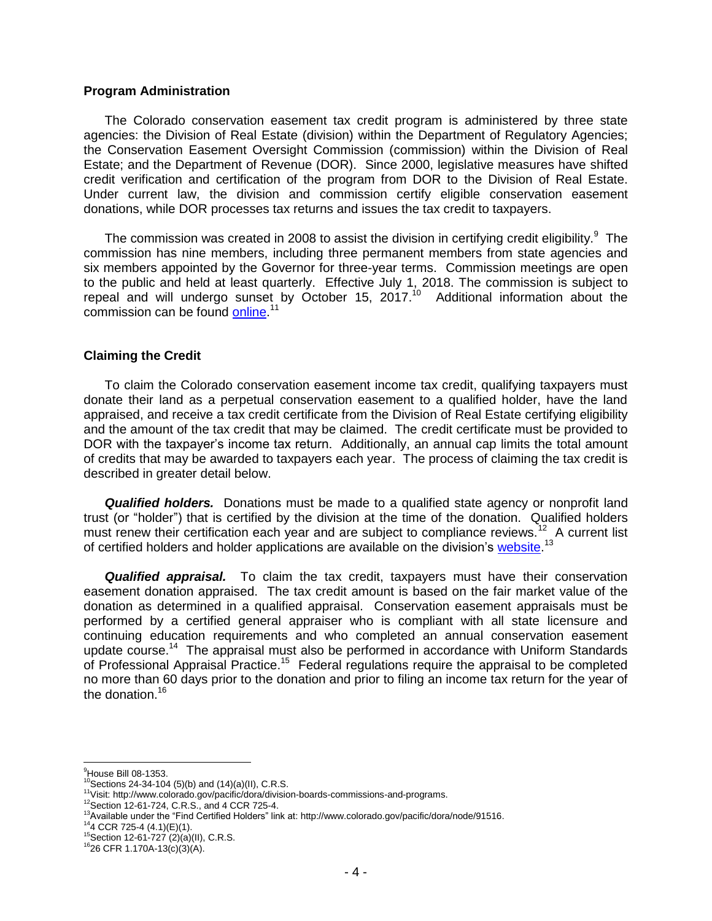#### **Program Administration**

The Colorado conservation easement tax credit program is administered by three state agencies: the Division of Real Estate (division) within the Department of Regulatory Agencies; the Conservation Easement Oversight Commission (commission) within the Division of Real Estate; and the Department of Revenue (DOR). Since 2000, legislative measures have shifted credit verification and certification of the program from DOR to the Division of Real Estate. Under current law, the division and commission certify eligible conservation easement donations, while DOR processes tax returns and issues the tax credit to taxpayers.

The commission was created in 2008 to assist the division in certifying credit eligibility. $9$  The commission has nine members, including three permanent members from state agencies and six members appointed by the Governor for three-year terms. Commission meetings are open to the public and held at least quarterly. Effective July 1, 2018. The commission is subject to repeal and will undergo sunset by October 15, 2017. $10$  Additional information about the commission can be found **online.**<sup>11</sup>

#### **Claiming the Credit**

To claim the Colorado conservation easement income tax credit, qualifying taxpayers must donate their land as a perpetual conservation easement to a qualified holder, have the land appraised, and receive a tax credit certificate from the Division of Real Estate certifying eligibility and the amount of the tax credit that may be claimed. The credit certificate must be provided to DOR with the taxpayer's income tax return. Additionally, an annual cap limits the total amount of credits that may be awarded to taxpayers each year. The process of claiming the tax credit is described in greater detail below.

*Qualified holders.* Donations must be made to a qualified state agency or nonprofit land trust (or "holder") that is certified by the division at the time of the donation. Qualified holders must renew their certification each year and are subject to compliance reviews.<sup>12</sup> A current list of certified holders and holder applications are available on the division's [website.](http://www.colorado.gov/pacific/dora/node/91516)<sup>13</sup>

*Qualified appraisal.* To claim the tax credit, taxpayers must have their conservation easement donation appraised. The tax credit amount is based on the fair market value of the donation as determined in a qualified appraisal. Conservation easement appraisals must be performed by a certified general appraiser who is compliant with all state licensure and continuing education requirements and who completed an annual conservation easement update course.<sup>14</sup> The appraisal must also be performed in accordance with Uniform Standards of Professional Appraisal Practice.<sup>15</sup> Federal regulations require the appraisal to be completed no more than 60 days prior to the donation and prior to filing an income tax return for the year of the donation.<sup>16</sup>

<sup>&</sup>lt;sup>9</sup>House Bill 08-1353.

 $10$ <sup>O</sup>Sections 24-34-104 (5)(b) and (14)(a)(II), C.R.S.

<sup>11</sup>Visit: [http://www.colorado.gov/pacific/dora/division-boards-commissions-and-programs.](http://www.colorado.gov/pacific/dora/division-boards-commissions-and-programs)

<sup>12</sup>Section 12-61-724, C.R.S., and 4 CCR 725-4.

<sup>13</sup>Available under the "Find Certified Holders" link at[: http://www.colorado.gov/pacific/dora/node/91516.](http://www.colorado.gov/pacific/dora/node/91516)

 $14$ <sub>4</sub> CCR 725-4 (4.1)(E)(1).

 $15$ Section 12-61-727 (2)(a)(II), C.R.S.

 $1626$  CFR 1.170A-13(c)(3)(A).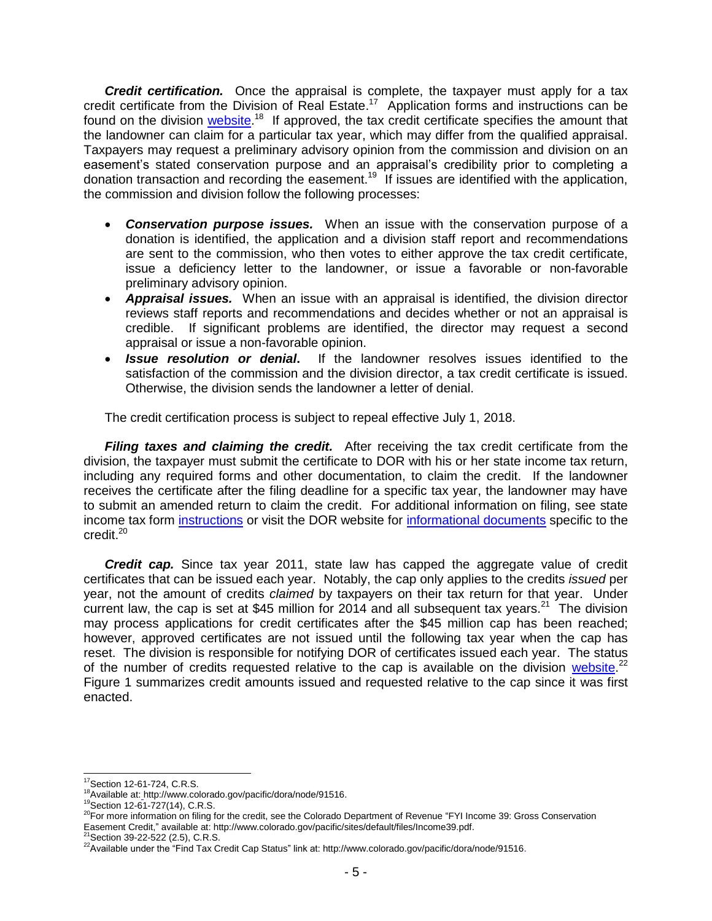*Credit certification.* Once the appraisal is complete, the taxpayer must apply for a tax credit certificate from the Division of Real Estate.<sup>17</sup> Application forms and instructions can be found on the division [website.](http://www.colorado.gov/pacific/dora/node/91516)<sup>18</sup> If approved, the tax credit certificate specifies the amount that the landowner can claim for a particular tax year, which may differ from the qualified appraisal. Taxpayers may request a preliminary advisory opinion from the commission and division on an easement's stated conservation purpose and an appraisal's credibility prior to completing a donation transaction and recording the easement.<sup>19</sup> If issues are identified with the application, the commission and division follow the following processes:

- *Conservation purpose issues.* When an issue with the conservation purpose of a donation is identified, the application and a division staff report and recommendations are sent to the commission, who then votes to either approve the tax credit certificate, issue a deficiency letter to the landowner, or issue a favorable or non-favorable preliminary advisory opinion.
- *Appraisal issues.* When an issue with an appraisal is identified, the division director reviews staff reports and recommendations and decides whether or not an appraisal is credible. If significant problems are identified, the director may request a second appraisal or issue a non-favorable opinion.
- *Issue resolution or denial***.** If the landowner resolves issues identified to the satisfaction of the commission and the division director, a tax credit certificate is issued. Otherwise, the division sends the landowner a letter of denial.

The credit certification process is subject to repeal effective July 1, 2018.

*Filing taxes and claiming the credit.* After receiving the tax credit certificate from the division, the taxpayer must submit the certificate to DOR with his or her state income tax return, including any required forms and other documentation, to claim the credit. If the landowner receives the certificate after the filing deadline for a specific tax year, the landowner may have to submit an amended return to claim the credit. For additional information on filing, see state income tax form [instructions](http://www.colorado.gov/pacific/tax/individual-income-tax-instructions-and-forms) or visit the DOR website for [informational documents](http://www.colorado.gov/pacific/sites/default/files/Income39.pdf) specific to the  $c$ redit. $20$ 

*Credit cap.* Since tax year 2011, state law has capped the aggregate value of credit certificates that can be issued each year. Notably, the cap only applies to the credits *issued* per year, not the amount of credits *claimed* by taxpayers on their tax return for that year. Under current law, the cap is set at \$45 million for 2014 and all subsequent tax years.<sup>21</sup> The division may process applications for credit certificates after the \$45 million cap has been reached; however, approved certificates are not issued until the following tax year when the cap has reset. The division is responsible for notifying DOR of certificates issued each year. The status of the number of credits requested relative to the cap is available on the division [website.](http://www.colorado.gov/pacific/dora/node/91516)<sup>22</sup> Figure 1 summarizes credit amounts issued and requested relative to the cap since it was first enacted.

 $\overline{a}$ <sup>17</sup>Section 12-61-724, C.R.S.

<sup>18</sup>Available at: [http://www.colorado.gov/pacific/dora/node/91516.](http://www.colorado.gov/pacific/dora/node/91516)

<sup>19</sup>Section 12-61-727(14), C.R.S.

<sup>20</sup>For more information on filing for the credit, see the Colorado Department of Revenue "FYI Income 39: Gross Conservation Easement Credit," available at[: http://www.colorado.gov/pacific/sites/default/files/Income39.pdf.](http://www.colorado.gov/pacific/sites/default/files/Income39.pdf)<br><sup>21</sup>Section 39-22-522 (2.5), C.R.S.

<sup>&</sup>lt;sup>22</sup>Available under the "Find Tax Credit Cap Status" link at: [http://www.colorado.gov/pacific/dora/node/91516.](http://www.colorado.gov/pacific/dora/node/91516)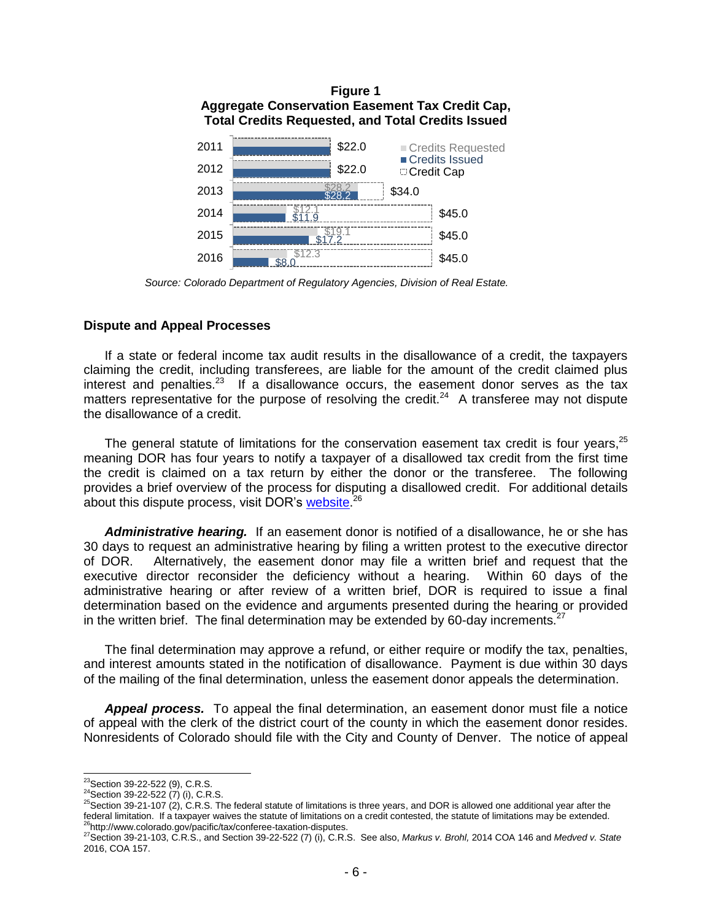

 *Source: Colorado Department of Regulatory Agencies, Division of Real Estate.* 

#### **Dispute and Appeal Processes**

If a state or federal income tax audit results in the disallowance of a credit, the taxpayers claiming the credit, including transferees, are liable for the amount of the credit claimed plus interest and penalties.<sup>23</sup> If a disallowance occurs, the easement donor serves as the tax matters representative for the purpose of resolving the credit.<sup>24</sup> A transferee may not dispute the disallowance of a credit.

The general statute of limitations for the conservation easement tax credit is four years,<sup>25</sup> meaning DOR has four years to notify a taxpayer of a disallowed tax credit from the first time the credit is claimed on a tax return by either the donor or the transferee. The following provides a brief overview of the process for disputing a disallowed credit. For additional details about this dispute process, visit DOR's [website.](http://www.colorado.gov/pacific/tax/conferee-taxation-disputes)<sup>26</sup>

*Administrative hearing.* If an easement donor is notified of a disallowance, he or she has 30 days to request an administrative hearing by filing a written protest to the executive director of DOR. Alternatively, the easement donor may file a written brief and request that the executive director reconsider the deficiency without a hearing. Within 60 days of the administrative hearing or after review of a written brief, DOR is required to issue a final determination based on the evidence and arguments presented during the hearing or provided in the written brief. The final determination may be extended by 60-day increments.<sup>27</sup>

The final determination may approve a refund, or either require or modify the tax, penalties, and interest amounts stated in the notification of disallowance. Payment is due within 30 days of the mailing of the final determination, unless the easement donor appeals the determination.

*Appeal process.* To appeal the final determination, an easement donor must file a notice of appeal with the clerk of the district court of the county in which the easement donor resides. Nonresidents of Colorado should file with the City and County of Denver. The notice of appeal

 $\overline{a}$  $^{23}$ Section 39-22-522 (9), C.R.S.

<sup>&</sup>lt;sup>24</sup>Section 39-22-522 (7) (i), C.R.S.

 $^{25}$ Section 39-21-107 (2), C.R.S. The federal statute of limitations is three years, and DOR is allowed one additional year after the federal limitation. If a taxpayer waives the statute of limitations on a credit contested, the statute of limitations may be extended. <sup>26</sup>[http://www.colorado.gov/pacific/tax/conferee-taxation-disputes.](http://www.colorado.gov/pacific/tax/conferee-taxation-disputes)

<sup>27</sup>Section 39-21-103, C.R.S., and Section 39-22-522 (7) (i), C.R.S. See also, *Markus v. Brohl,* 2014 COA 146 and *Medved v. State* 2016, COA 157.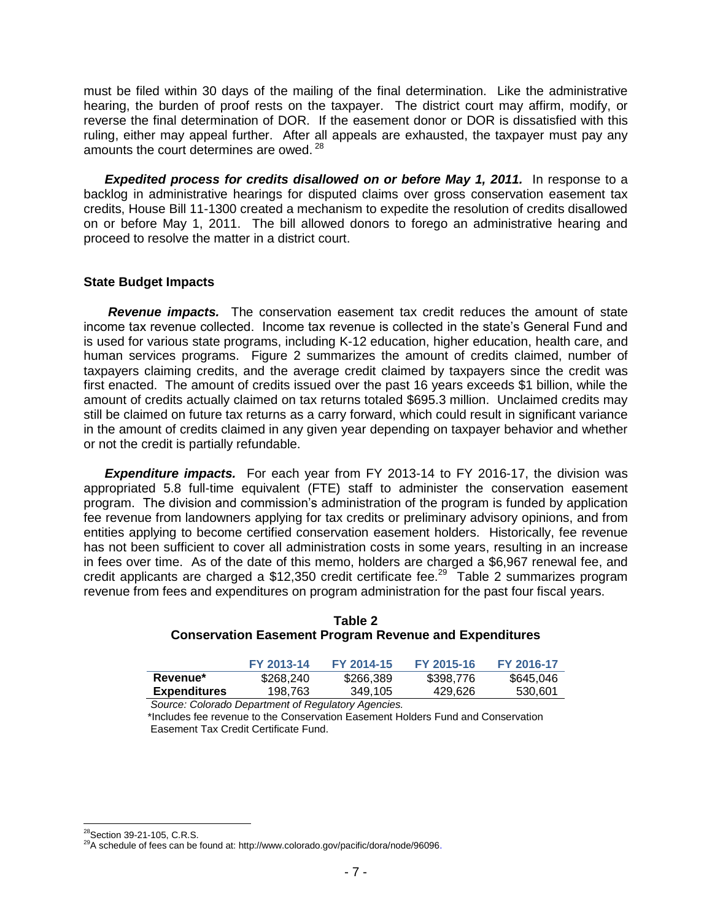must be filed within 30 days of the mailing of the final determination. Like the administrative hearing, the burden of proof rests on the taxpayer. The district court may affirm, modify, or reverse the final determination of DOR. If the easement donor or DOR is dissatisfied with this ruling, either may appeal further. After all appeals are exhausted, the taxpayer must pay any amounts the court determines are owed.<sup>28</sup>

*Expedited process for credits disallowed on or before May 1, 2011.* In response to a backlog in administrative hearings for disputed claims over gross conservation easement tax credits, House Bill 11-1300 created a mechanism to expedite the resolution of credits disallowed on or before May 1, 2011. The bill allowed donors to forego an administrative hearing and proceed to resolve the matter in a district court.

#### **State Budget Impacts**

*Revenue impacts.* The conservation easement tax credit reduces the amount of state income tax revenue collected. Income tax revenue is collected in the state's General Fund and is used for various state programs, including K-12 education, higher education, health care, and human services programs. Figure 2 summarizes the amount of credits claimed, number of taxpayers claiming credits, and the average credit claimed by taxpayers since the credit was first enacted. The amount of credits issued over the past 16 years exceeds \$1 billion, while the amount of credits actually claimed on tax returns totaled \$695.3 million. Unclaimed credits may still be claimed on future tax returns as a carry forward, which could result in significant variance in the amount of credits claimed in any given year depending on taxpayer behavior and whether or not the credit is partially refundable.

*Expenditure impacts.* For each year from FY 2013-14 to FY 2016-17, the division was appropriated 5.8 full-time equivalent (FTE) staff to administer the conservation easement program. The division and commission's administration of the program is funded by application fee revenue from landowners applying for tax credits or preliminary advisory opinions, and from entities applying to become certified conservation easement holders. Historically, fee revenue has not been sufficient to cover all administration costs in some years, resulting in an increase in fees over time. As of the date of this memo, holders are charged a \$6,967 renewal fee, and credit applicants are charged a \$12,350 credit certificate fee.<sup>29</sup> Table 2 summarizes program revenue from fees and expenditures on program administration for the past four fiscal years.

|                     | FY 2013-14 | FY 2014-15 | FY 2015-16 | FY 2016-17 |
|---------------------|------------|------------|------------|------------|
| Revenue*            | \$268,240  | \$266,389  | \$398,776  | \$645,046  |
| <b>Expenditures</b> | 198.763    | 349.105    | 429,626    | 530.601    |

#### **Table 2 Conservation Easement Program Revenue and Expenditures**

 *Source: Colorado Department of Regulatory Agencies.* \*Includes fee revenue to the Conservation Easement Holders Fund and Conservation Easement Tax Credit Certificate Fund.

  $^{28}$ Section 39-21-105, C.R.S.

<sup>29</sup>A schedule of fees can be found at: [http://www.colorado.gov/pacific/dora/node/96096.](http://www.colorado.gov/pacific/dora/node/96096)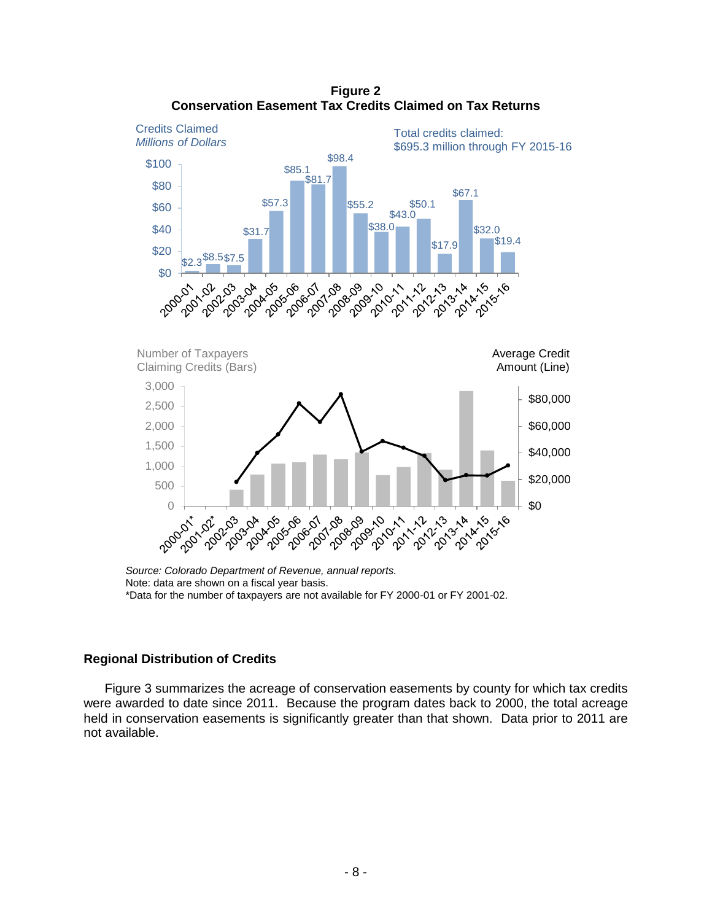

**Figure 2 Conservation Easement Tax Credits Claimed on Tax Returns**

Note: data are shown on a fiscal year basis. \*Data for the number of taxpayers are not available for FY 2000-01 or FY 2001-02.

#### **Regional Distribution of Credits**

Figure 3 summarizes the acreage of conservation easements by county for which tax credits were awarded to date since 2011. Because the program dates back to 2000, the total acreage held in conservation easements is significantly greater than that shown. Data prior to 2011 are not available.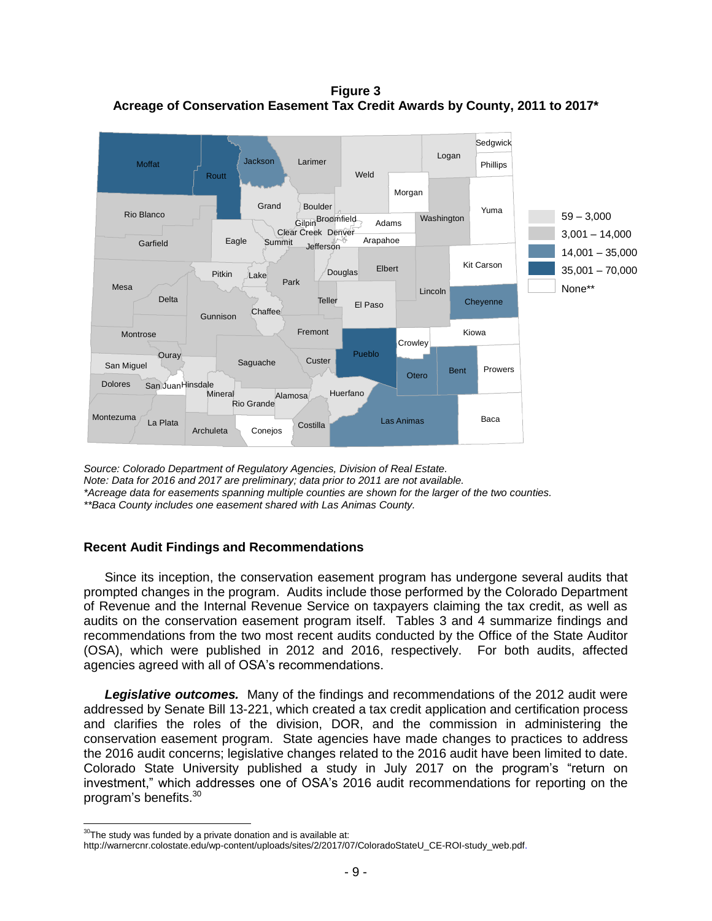**Figure 3 Acreage of Conservation Easement Tax Credit Awards by County, 2011 to 2017\***



*Source: Colorado Department of Regulatory Agencies, Division of Real Estate. Note: Data for 2016 and 2017 are preliminary; data prior to 2011 are not available. \*Acreage data for easements spanning multiple counties are shown for the larger of the two counties. \*\*Baca County includes one easement shared with Las Animas County.*

#### **Recent Audit Findings and Recommendations Counties**

Since its inception, the conservation easement program has undergone several audits that prompted changes in the program. Audits include those performed by the Colorado Department of Revenue and the Internal Revenue Service on taxpayers claiming the tax credit, as well as audits on the conservation easement program itself. Tables 3 and 4 summarize findings and recommendations from the two most recent audits conducted by the Office of the State Auditor recommendations non-the the measure conditions conducted by the United State Atlantic.<br>(OSA), which were published in 2012 and 2016, respectively. For both audits, affected agencies agreed with all of OSA's recommendations.

*Legislative outcomes.* Many of the findings and recommendations of the 2012 audit were addressed by Senate Bill 13-221, which created a tax credit application and certification process and clarifies the roles of the division, DOR, and the commission in administering the conservation easement program. State agencies have made changes to practices to address the 2016 audit concerns; legislative changes related to the 2016 audit have been limited to date. Colorado State University published a study in July 2017 on the program's "return on investment," which addresses one of OSA's 2016 audit recommendations for reporting on the program's benefits.<sup>30</sup>

 $30$ <sup>30</sup>The study was funded by a private donation and is available at:

[http://warnercnr.colostate.edu/wp-content/uploads/sites/2/2017/07/ColoradoStateU\\_CE-ROI-study\\_web.pdf.](http://warnercnr.colostate.edu/wp-content/uploads/sites/2/2017/07/ColoradoStateU_CE-ROI-study_web.pdf)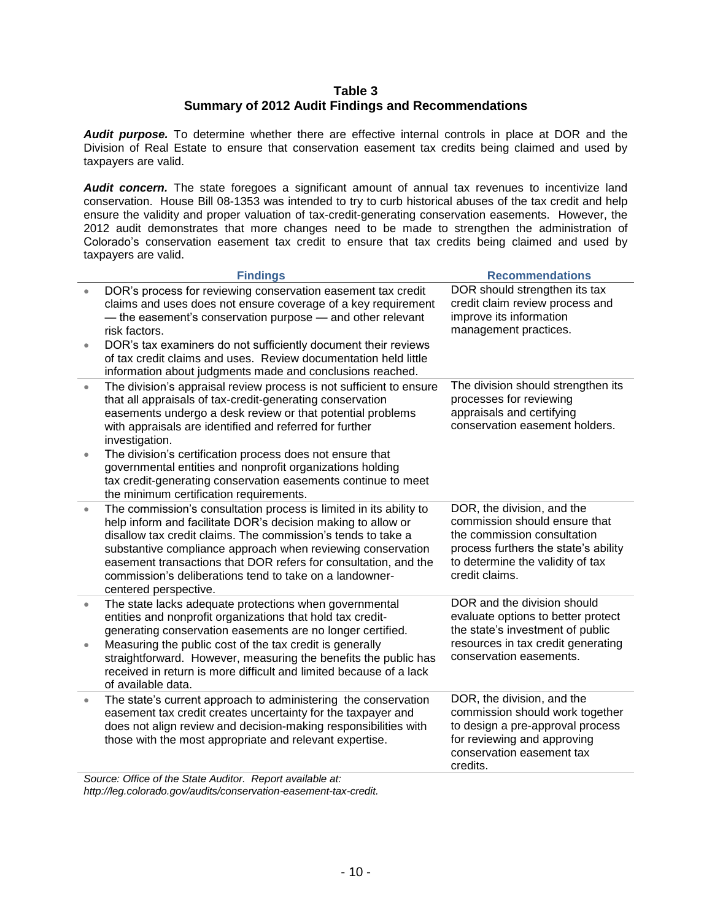#### **Table 3 Summary of 2012 Audit Findings and Recommendations**

*Audit purpose.* To determine whether there are effective internal controls in place at DOR and the Division of Real Estate to ensure that conservation easement tax credits being claimed and used by taxpayers are valid.

Audit concern. The state foregoes a significant amount of annual tax revenues to incentivize land conservation. House Bill 08-1353 was intended to try to curb historical abuses of the tax credit and help ensure the validity and proper valuation of tax-credit-generating conservation easements. However, the 2012 audit demonstrates that more changes need to be made to strengthen the administration of Colorado's conservation easement tax credit to ensure that tax credits being claimed and used by taxpayers are valid.

|                        | <b>Findings</b>                                                                                                                                                                                                                                                                                                                                                                                                          | <b>Recommendations</b>                                                                                                                                                                   |
|------------------------|--------------------------------------------------------------------------------------------------------------------------------------------------------------------------------------------------------------------------------------------------------------------------------------------------------------------------------------------------------------------------------------------------------------------------|------------------------------------------------------------------------------------------------------------------------------------------------------------------------------------------|
| $\bullet$              | DOR's process for reviewing conservation easement tax credit<br>claims and uses does not ensure coverage of a key requirement<br>- the easement's conservation purpose - and other relevant<br>risk factors.<br>DOR's tax examiners do not sufficiently document their reviews<br>of tax credit claims and uses. Review documentation held little<br>information about judgments made and conclusions reached.           | DOR should strengthen its tax<br>credit claim review process and<br>improve its information<br>management practices.                                                                     |
| $\bullet$              | The division's appraisal review process is not sufficient to ensure<br>that all appraisals of tax-credit-generating conservation<br>easements undergo a desk review or that potential problems<br>with appraisals are identified and referred for further<br>investigation.                                                                                                                                              | The division should strengthen its<br>processes for reviewing<br>appraisals and certifying<br>conservation easement holders.                                                             |
| $\bullet$              | The division's certification process does not ensure that<br>governmental entities and nonprofit organizations holding<br>tax credit-generating conservation easements continue to meet<br>the minimum certification requirements.                                                                                                                                                                                       |                                                                                                                                                                                          |
| $\bullet$              | The commission's consultation process is limited in its ability to<br>help inform and facilitate DOR's decision making to allow or<br>disallow tax credit claims. The commission's tends to take a<br>substantive compliance approach when reviewing conservation<br>easement transactions that DOR refers for consultation, and the<br>commission's deliberations tend to take on a landowner-<br>centered perspective. | DOR, the division, and the<br>commission should ensure that<br>the commission consultation<br>process furthers the state's ability<br>to determine the validity of tax<br>credit claims. |
| $\bullet$<br>$\bullet$ | The state lacks adequate protections when governmental<br>entities and nonprofit organizations that hold tax credit-<br>generating conservation easements are no longer certified.<br>Measuring the public cost of the tax credit is generally<br>straightforward. However, measuring the benefits the public has<br>received in return is more difficult and limited because of a lack<br>of available data.            | DOR and the division should<br>evaluate options to better protect<br>the state's investment of public<br>resources in tax credit generating<br>conservation easements.                   |
| $\bullet$              | The state's current approach to administering the conservation<br>easement tax credit creates uncertainty for the taxpayer and<br>does not align review and decision-making responsibilities with<br>those with the most appropriate and relevant expertise.                                                                                                                                                             | DOR, the division, and the<br>commission should work together<br>to design a pre-approval process<br>for reviewing and approving<br>conservation easement tax<br>credits.                |
|                        | Course Office of the Crope Auditor, Depart quaishle at                                                                                                                                                                                                                                                                                                                                                                   |                                                                                                                                                                                          |

*Source: Office of the State Auditor. Report available at: [http://leg.colorado.gov/audits/conservation-easement-tax-credit.](http://leg.colorado.gov/audits/conservation-easement-tax-credit)*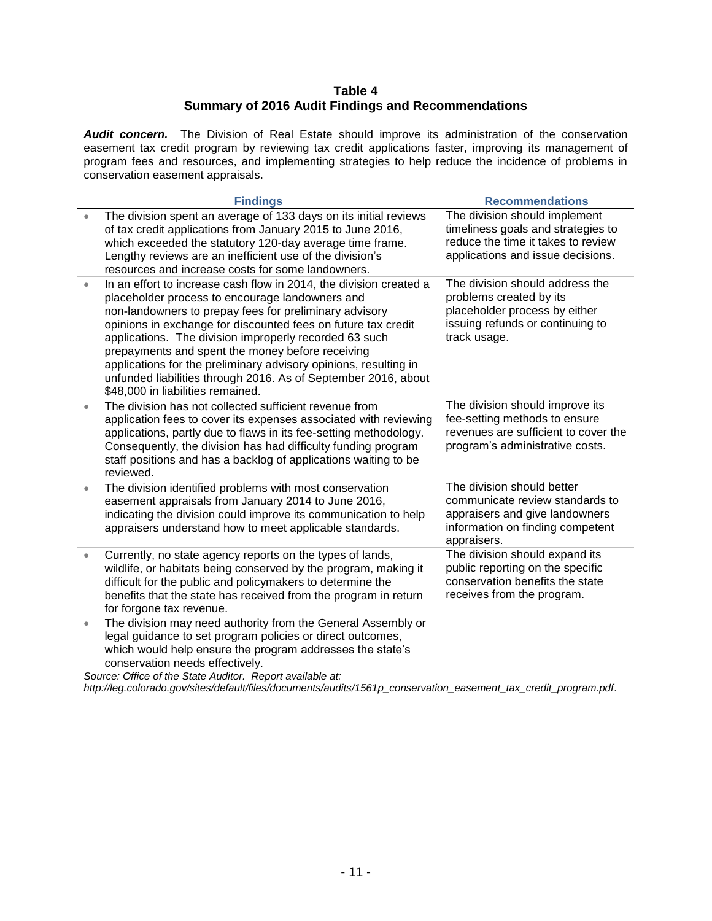#### **Table 4 Summary of 2016 Audit Findings and Recommendations**

Audit concern. The Division of Real Estate should improve its administration of the conservation easement tax credit program by reviewing tax credit applications faster, improving its management of program fees and resources, and implementing strategies to help reduce the incidence of problems in conservation easement appraisals.

|           | <b>Findings</b>                                                                                                                                                                                                                                                                                                                                                                                                                                                                                                                           | <b>Recommendations</b>                                                                                                                             |
|-----------|-------------------------------------------------------------------------------------------------------------------------------------------------------------------------------------------------------------------------------------------------------------------------------------------------------------------------------------------------------------------------------------------------------------------------------------------------------------------------------------------------------------------------------------------|----------------------------------------------------------------------------------------------------------------------------------------------------|
| $\bullet$ | The division spent an average of 133 days on its initial reviews<br>of tax credit applications from January 2015 to June 2016,<br>which exceeded the statutory 120-day average time frame.<br>Lengthy reviews are an inefficient use of the division's<br>resources and increase costs for some landowners.                                                                                                                                                                                                                               | The division should implement<br>timeliness goals and strategies to<br>reduce the time it takes to review<br>applications and issue decisions.     |
| $\bullet$ | In an effort to increase cash flow in 2014, the division created a<br>placeholder process to encourage landowners and<br>non-landowners to prepay fees for preliminary advisory<br>opinions in exchange for discounted fees on future tax credit<br>applications. The division improperly recorded 63 such<br>prepayments and spent the money before receiving<br>applications for the preliminary advisory opinions, resulting in<br>unfunded liabilities through 2016. As of September 2016, about<br>\$48,000 in liabilities remained. | The division should address the<br>problems created by its<br>placeholder process by either<br>issuing refunds or continuing to<br>track usage.    |
| $\bullet$ | The division has not collected sufficient revenue from<br>application fees to cover its expenses associated with reviewing<br>applications, partly due to flaws in its fee-setting methodology.<br>Consequently, the division has had difficulty funding program<br>staff positions and has a backlog of applications waiting to be<br>reviewed.                                                                                                                                                                                          | The division should improve its<br>fee-setting methods to ensure<br>revenues are sufficient to cover the<br>program's administrative costs.        |
| $\bullet$ | The division identified problems with most conservation<br>easement appraisals from January 2014 to June 2016,<br>indicating the division could improve its communication to help<br>appraisers understand how to meet applicable standards.                                                                                                                                                                                                                                                                                              | The division should better<br>communicate review standards to<br>appraisers and give landowners<br>information on finding competent<br>appraisers. |
| $\bullet$ | Currently, no state agency reports on the types of lands,<br>wildlife, or habitats being conserved by the program, making it<br>difficult for the public and policymakers to determine the<br>benefits that the state has received from the program in return<br>for forgone tax revenue.                                                                                                                                                                                                                                                 | The division should expand its<br>public reporting on the specific<br>conservation benefits the state<br>receives from the program.                |
| $\bullet$ | The division may need authority from the General Assembly or<br>legal guidance to set program policies or direct outcomes,<br>which would help ensure the program addresses the state's<br>conservation needs effectively.                                                                                                                                                                                                                                                                                                                |                                                                                                                                                    |
|           | Source: Office of the State Auditor. Report available at:                                                                                                                                                                                                                                                                                                                                                                                                                                                                                 |                                                                                                                                                    |

*[http://leg.colorado.gov/sites/default/files/documents/audits/1561p\\_conservation\\_easement\\_tax\\_credit\\_program.pdf.](http://leg.colorado.gov/sites/default/files/documents/audits/1561p_conservation_easement_tax_credit_program.pdf)*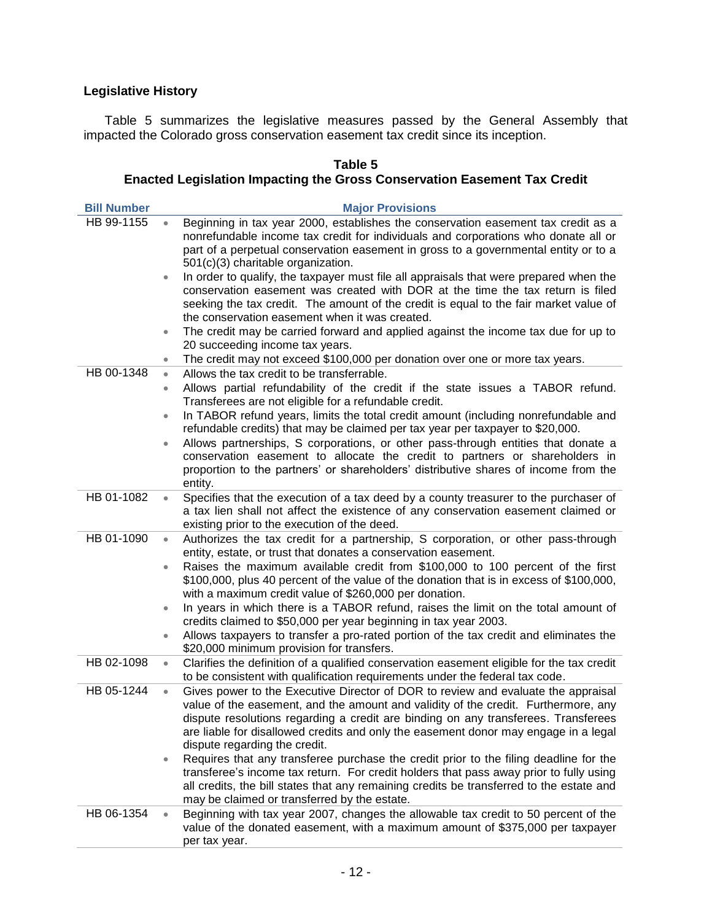#### **Legislative History**

Table 5 summarizes the legislative measures passed by the General Assembly that impacted the Colorado gross conservation easement tax credit since its inception.

| <b>Bill Number</b> |           | <b>Major Provisions</b>                                                                                                                                                                                                                                                                                                                                                               |
|--------------------|-----------|---------------------------------------------------------------------------------------------------------------------------------------------------------------------------------------------------------------------------------------------------------------------------------------------------------------------------------------------------------------------------------------|
| HB 99-1155         | $\bullet$ | Beginning in tax year 2000, establishes the conservation easement tax credit as a<br>nonrefundable income tax credit for individuals and corporations who donate all or<br>part of a perpetual conservation easement in gross to a governmental entity or to a                                                                                                                        |
|                    |           | 501(c)(3) charitable organization.                                                                                                                                                                                                                                                                                                                                                    |
|                    | $\bullet$ | In order to qualify, the taxpayer must file all appraisals that were prepared when the<br>conservation easement was created with DOR at the time the tax return is filed<br>seeking the tax credit. The amount of the credit is equal to the fair market value of                                                                                                                     |
|                    |           | the conservation easement when it was created.                                                                                                                                                                                                                                                                                                                                        |
|                    | $\bullet$ | The credit may be carried forward and applied against the income tax due for up to<br>20 succeeding income tax years.                                                                                                                                                                                                                                                                 |
|                    | $\bullet$ | The credit may not exceed \$100,000 per donation over one or more tax years.                                                                                                                                                                                                                                                                                                          |
| HB 00-1348         | $\bullet$ | Allows the tax credit to be transferrable.                                                                                                                                                                                                                                                                                                                                            |
|                    | ۰         | Allows partial refundability of the credit if the state issues a TABOR refund.<br>Transferees are not eligible for a refundable credit.                                                                                                                                                                                                                                               |
|                    | $\bullet$ | In TABOR refund years, limits the total credit amount (including nonrefundable and<br>refundable credits) that may be claimed per tax year per taxpayer to \$20,000.                                                                                                                                                                                                                  |
|                    | $\bullet$ | Allows partnerships, S corporations, or other pass-through entities that donate a<br>conservation easement to allocate the credit to partners or shareholders in<br>proportion to the partners' or shareholders' distributive shares of income from the<br>entity.                                                                                                                    |
| HB 01-1082         | $\bullet$ | Specifies that the execution of a tax deed by a county treasurer to the purchaser of<br>a tax lien shall not affect the existence of any conservation easement claimed or<br>existing prior to the execution of the deed.                                                                                                                                                             |
| HB 01-1090         | $\bullet$ | Authorizes the tax credit for a partnership, S corporation, or other pass-through<br>entity, estate, or trust that donates a conservation easement.                                                                                                                                                                                                                                   |
|                    | $\bullet$ | Raises the maximum available credit from \$100,000 to 100 percent of the first<br>\$100,000, plus 40 percent of the value of the donation that is in excess of \$100,000,<br>with a maximum credit value of \$260,000 per donation.                                                                                                                                                   |
|                    | $\bullet$ | In years in which there is a TABOR refund, raises the limit on the total amount of<br>credits claimed to \$50,000 per year beginning in tax year 2003.                                                                                                                                                                                                                                |
|                    | $\bullet$ | Allows taxpayers to transfer a pro-rated portion of the tax credit and eliminates the<br>\$20,000 minimum provision for transfers.                                                                                                                                                                                                                                                    |
| HB 02-1098         | $\bullet$ | Clarifies the definition of a qualified conservation easement eligible for the tax credit                                                                                                                                                                                                                                                                                             |
|                    |           | to be consistent with qualification requirements under the federal tax code.                                                                                                                                                                                                                                                                                                          |
| HB 05-1244         | $\bullet$ | Gives power to the Executive Director of DOR to review and evaluate the appraisal<br>value of the easement, and the amount and validity of the credit. Furthermore, any<br>dispute resolutions regarding a credit are binding on any transferees. Transferees<br>are liable for disallowed credits and only the easement donor may engage in a legal<br>dispute regarding the credit. |
|                    | $\bullet$ | Requires that any transferee purchase the credit prior to the filing deadline for the<br>transferee's income tax return. For credit holders that pass away prior to fully using<br>all credits, the bill states that any remaining credits be transferred to the estate and<br>may be claimed or transferred by the estate.                                                           |
| HB 06-1354         | $\bullet$ | Beginning with tax year 2007, changes the allowable tax credit to 50 percent of the<br>value of the donated easement, with a maximum amount of \$375,000 per taxpayer                                                                                                                                                                                                                 |

## **Table 5**

# **Enacted Legislation Impacting the Gross Conservation Easement Tax Credit**

per tax year.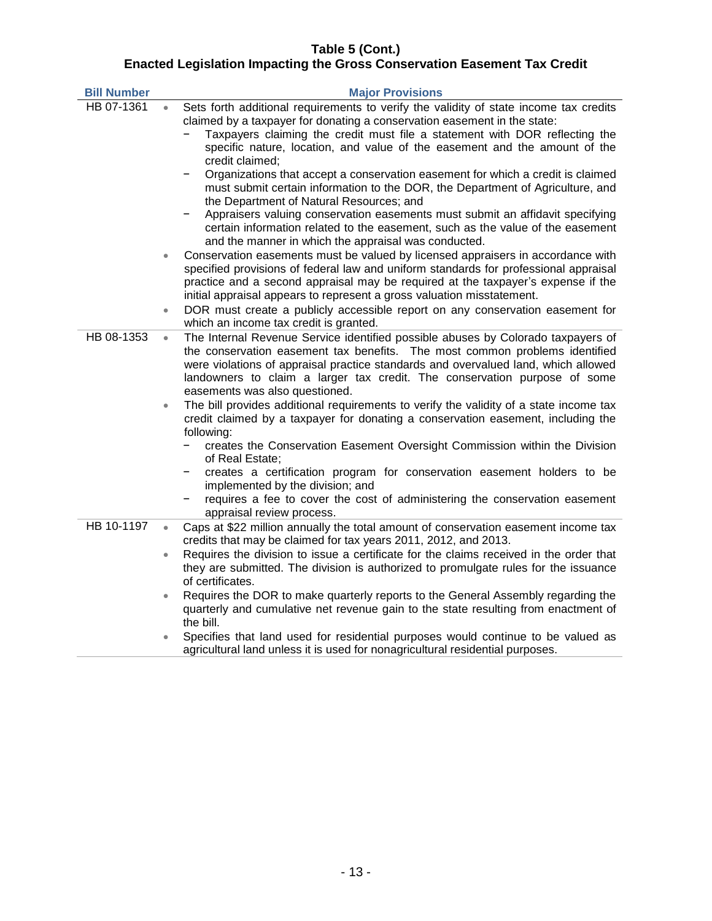#### **Table 5 (Cont.) Enacted Legislation Impacting the Gross Conservation Easement Tax Credit**

| <b>Bill Number</b> |           | <b>Major Provisions</b>                                                                                                                                                                                                                                                                                                                                                                                                                                                                                              |
|--------------------|-----------|----------------------------------------------------------------------------------------------------------------------------------------------------------------------------------------------------------------------------------------------------------------------------------------------------------------------------------------------------------------------------------------------------------------------------------------------------------------------------------------------------------------------|
| HB 07-1361         |           | Sets forth additional requirements to verify the validity of state income tax credits<br>claimed by a taxpayer for donating a conservation easement in the state:<br>Taxpayers claiming the credit must file a statement with DOR reflecting the<br>specific nature, location, and value of the easement and the amount of the<br>credit claimed;                                                                                                                                                                    |
|                    |           | Organizations that accept a conservation easement for which a credit is claimed<br>must submit certain information to the DOR, the Department of Agriculture, and<br>the Department of Natural Resources; and<br>Appraisers valuing conservation easements must submit an affidavit specifying                                                                                                                                                                                                                       |
|                    |           | certain information related to the easement, such as the value of the easement<br>and the manner in which the appraisal was conducted.                                                                                                                                                                                                                                                                                                                                                                               |
|                    | ۰         | Conservation easements must be valued by licensed appraisers in accordance with<br>specified provisions of federal law and uniform standards for professional appraisal<br>practice and a second appraisal may be required at the taxpayer's expense if the<br>initial appraisal appears to represent a gross valuation misstatement.                                                                                                                                                                                |
|                    | $\bullet$ | DOR must create a publicly accessible report on any conservation easement for<br>which an income tax credit is granted.                                                                                                                                                                                                                                                                                                                                                                                              |
| HB 08-1353         | $\bullet$ | The Internal Revenue Service identified possible abuses by Colorado taxpayers of<br>the conservation easement tax benefits. The most common problems identified<br>were violations of appraisal practice standards and overvalued land, which allowed<br>landowners to claim a larger tax credit. The conservation purpose of some<br>easements was also questioned.                                                                                                                                                 |
|                    | $\bullet$ | The bill provides additional requirements to verify the validity of a state income tax<br>credit claimed by a taxpayer for donating a conservation easement, including the<br>following:<br>creates the Conservation Easement Oversight Commission within the Division<br>of Real Estate;<br>creates a certification program for conservation easement holders to be<br>implemented by the division; and<br>requires a fee to cover the cost of administering the conservation easement<br>appraisal review process. |
| HB 10-1197         | $\bullet$ | Caps at \$22 million annually the total amount of conservation easement income tax<br>credits that may be claimed for tax years 2011, 2012, and 2013.                                                                                                                                                                                                                                                                                                                                                                |
|                    | $\bullet$ | Requires the division to issue a certificate for the claims received in the order that<br>they are submitted. The division is authorized to promulgate rules for the issuance<br>of certificates.                                                                                                                                                                                                                                                                                                                    |
|                    | $\bullet$ | Requires the DOR to make quarterly reports to the General Assembly regarding the<br>quarterly and cumulative net revenue gain to the state resulting from enactment of<br>the bill.                                                                                                                                                                                                                                                                                                                                  |
|                    |           | Specifies that land used for residential purposes would continue to be valued as<br>agricultural land unless it is used for nonagricultural residential purposes.                                                                                                                                                                                                                                                                                                                                                    |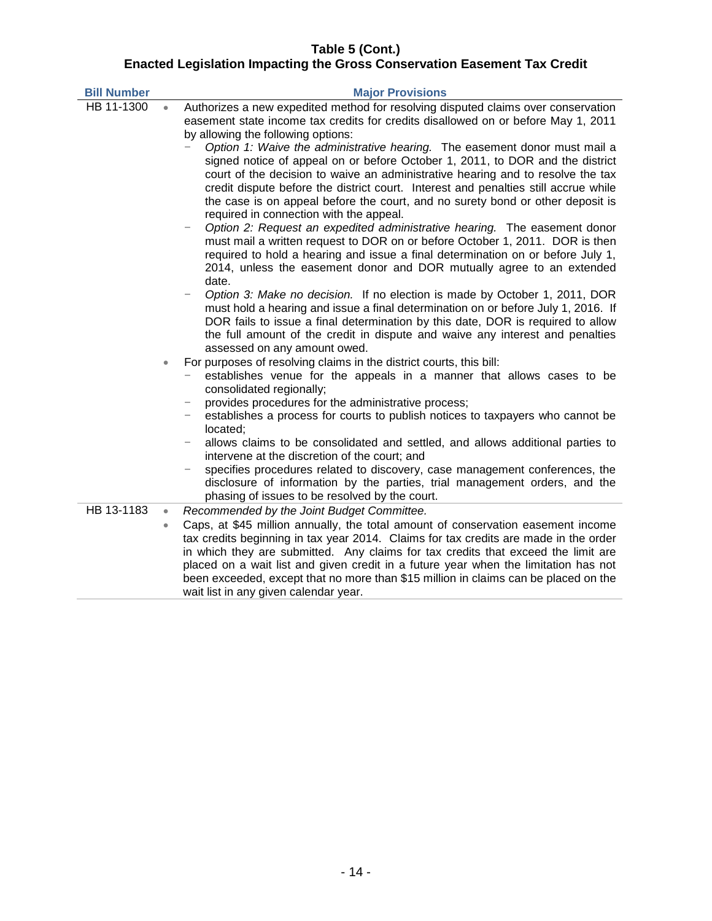#### **Table 5 (Cont.) Enacted Legislation Impacting the Gross Conservation Easement Tax Credit**

| <b>Bill Number</b> |           | <b>Major Provisions</b>                                                                                                                                                                                                                                                                                                                                                                                                                                                                                                                                                                                                                                                                                                                                                                                                                                                                                                                                                                                                                                                                                                                                                                                                                                                                                                                                                                     |
|--------------------|-----------|---------------------------------------------------------------------------------------------------------------------------------------------------------------------------------------------------------------------------------------------------------------------------------------------------------------------------------------------------------------------------------------------------------------------------------------------------------------------------------------------------------------------------------------------------------------------------------------------------------------------------------------------------------------------------------------------------------------------------------------------------------------------------------------------------------------------------------------------------------------------------------------------------------------------------------------------------------------------------------------------------------------------------------------------------------------------------------------------------------------------------------------------------------------------------------------------------------------------------------------------------------------------------------------------------------------------------------------------------------------------------------------------|
| HB 11-1300         | $\bullet$ | Authorizes a new expedited method for resolving disputed claims over conservation<br>easement state income tax credits for credits disallowed on or before May 1, 2011<br>by allowing the following options:<br>Option 1: Waive the administrative hearing. The easement donor must mail a<br>signed notice of appeal on or before October 1, 2011, to DOR and the district<br>court of the decision to waive an administrative hearing and to resolve the tax<br>credit dispute before the district court. Interest and penalties still accrue while<br>the case is on appeal before the court, and no surety bond or other deposit is<br>required in connection with the appeal.<br>Option 2: Request an expedited administrative hearing. The easement donor<br>must mail a written request to DOR on or before October 1, 2011. DOR is then<br>required to hold a hearing and issue a final determination on or before July 1,<br>2014, unless the easement donor and DOR mutually agree to an extended<br>date.<br>Option 3: Make no decision. If no election is made by October 1, 2011, DOR<br>must hold a hearing and issue a final determination on or before July 1, 2016. If<br>DOR fails to issue a final determination by this date, DOR is required to allow<br>the full amount of the credit in dispute and waive any interest and penalties<br>assessed on any amount owed. |
|                    | $\bullet$ | For purposes of resolving claims in the district courts, this bill:<br>establishes venue for the appeals in a manner that allows cases to be<br>consolidated regionally;<br>provides procedures for the administrative process;<br>-<br>establishes a process for courts to publish notices to taxpayers who cannot be<br>located;<br>allows claims to be consolidated and settled, and allows additional parties to<br>intervene at the discretion of the court; and<br>specifies procedures related to discovery, case management conferences, the<br>disclosure of information by the parties, trial management orders, and the<br>phasing of issues to be resolved by the court.                                                                                                                                                                                                                                                                                                                                                                                                                                                                                                                                                                                                                                                                                                        |
| HB 13-1183         | $\bullet$ | Recommended by the Joint Budget Committee.                                                                                                                                                                                                                                                                                                                                                                                                                                                                                                                                                                                                                                                                                                                                                                                                                                                                                                                                                                                                                                                                                                                                                                                                                                                                                                                                                  |
|                    | $\bullet$ | Caps, at \$45 million annually, the total amount of conservation easement income<br>tax credits beginning in tax year 2014. Claims for tax credits are made in the order<br>in which they are submitted. Any claims for tax credits that exceed the limit are<br>placed on a wait list and given credit in a future year when the limitation has not<br>been exceeded, except that no more than \$15 million in claims can be placed on the<br>wait list in any given calendar year.                                                                                                                                                                                                                                                                                                                                                                                                                                                                                                                                                                                                                                                                                                                                                                                                                                                                                                        |